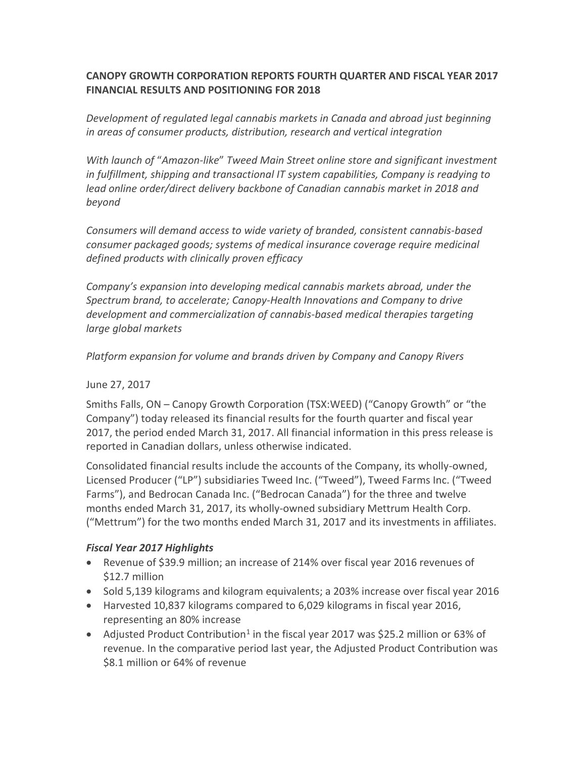### **CANOPY GROWTH CORPORATION REPORTS FOURTH QUARTER AND FISCAL YEAR 2017 FINANCIAL RESULTS AND POSITIONING FOR 2018**

*Development of regulated legal cannabis markets in Canada and abroad just beginning in areas of consumer products, distribution, research and vertical integration*

*With launch of* "*Amazon-like*" *Tweed Main Street online store and significant investment in fulfillment, shipping and transactional IT system capabilities, Company is readying to lead online order/direct delivery backbone of Canadian cannabis market in 2018 and beyond*

*Consumers will demand access to wide variety of branded, consistent cannabis-based consumer packaged goods; systems of medical insurance coverage require medicinal defined products with clinically proven efficacy* 

*Company's expansion into developing medical cannabis markets abroad, under the Spectrum brand, to accelerate; Canopy-Health Innovations and Company to drive development and commercialization of cannabis-based medical therapies targeting large global markets*

*Platform expansion for volume and brands driven by Company and Canopy Rivers*

June 27, 2017

Smiths Falls, ON – Canopy Growth Corporation (TSX:WEED) ("Canopy Growth" or "the Company") today released its financial results for the fourth quarter and fiscal year 2017, the period ended March 31, 2017. All financial information in this press release is reported in Canadian dollars, unless otherwise indicated.

Consolidated financial results include the accounts of the Company, its wholly-owned, Licensed Producer ("LP") subsidiaries Tweed Inc. ("Tweed"), Tweed Farms Inc. ("Tweed Farms"), and Bedrocan Canada Inc. ("Bedrocan Canada") for the three and twelve months ended March 31, 2017, its wholly-owned subsidiary Mettrum Health Corp. ("Mettrum") for the two months ended March 31, 2017 and its investments in affiliates.

## *Fiscal Year 2017 Highlights*

- Revenue of \$39.9 million; an increase of 214% over fiscal year 2016 revenues of \$12.7 million
- Sold 5,139 kilograms and kilogram equivalents; a 203% increase over fiscal year 2016
- Harvested 10,837 kilograms compared to 6,029 kilograms in fiscal year 2016, representing an 80% increase
- Adjusted Product Contribution<sup>1</sup> in the fiscal year 2017 was \$25.2 million or 63% of revenue. In the comparative period last year, the Adjusted Product Contribution was \$8.1 million or 64% of revenue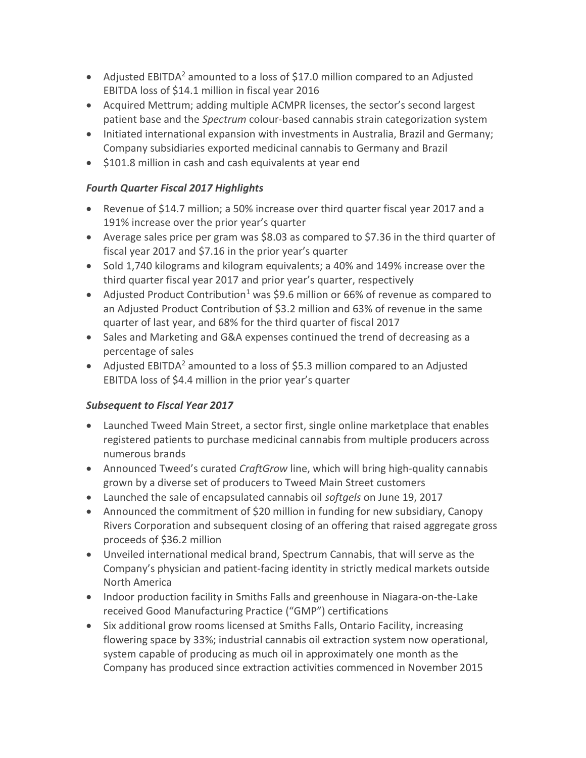- Adjusted EBITDA<sup>2</sup> amounted to a loss of \$17.0 million compared to an Adjusted EBITDA loss of \$14.1 million in fiscal year 2016
- Acquired Mettrum; adding multiple ACMPR licenses, the sector's second largest patient base and the *Spectrum* colour-based cannabis strain categorization system
- Initiated international expansion with investments in Australia, Brazil and Germany; Company subsidiaries exported medicinal cannabis to Germany and Brazil
- \$101.8 million in cash and cash equivalents at year end

### *Fourth Quarter Fiscal 2017 Highlights*

- Revenue of \$14.7 million; a 50% increase over third quarter fiscal year 2017 and a 191% increase over the prior year's quarter
- Average sales price per gram was \$8.03 as compared to \$7.36 in the third quarter of fiscal year 2017 and \$7.16 in the prior year's quarter
- Sold 1,740 kilograms and kilogram equivalents; a 40% and 149% increase over the third quarter fiscal year 2017 and prior year's quarter, respectively
- Adjusted Product Contribution<sup>1</sup> was \$9.6 million or 66% of revenue as compared to an Adjusted Product Contribution of \$3.2 million and 63% of revenue in the same quarter of last year, and 68% for the third quarter of fiscal 2017
- Sales and Marketing and G&A expenses continued the trend of decreasing as a percentage of sales
- Adjusted EBITDA<sup>2</sup> amounted to a loss of \$5.3 million compared to an Adjusted EBITDA loss of \$4.4 million in the prior year's quarter

## *Subsequent to Fiscal Year 2017*

- Launched Tweed Main Street, a sector first, single online marketplace that enables registered patients to purchase medicinal cannabis from multiple producers across numerous brands
- Announced Tweed's curated *CraftGrow* line, which will bring high-quality cannabis grown by a diverse set of producers to Tweed Main Street customers
- Launched the sale of encapsulated cannabis oil *softgels* on June 19, 2017
- Announced the commitment of \$20 million in funding for new subsidiary, Canopy Rivers Corporation and subsequent closing of an offering that raised aggregate gross proceeds of \$36.2 million
- Unveiled international medical brand, Spectrum Cannabis, that will serve as the Company's physician and patient-facing identity in strictly medical markets outside North America
- Indoor production facility in Smiths Falls and greenhouse in Niagara-on-the-Lake received Good Manufacturing Practice ("GMP") certifications
- Six additional grow rooms licensed at Smiths Falls, Ontario Facility, increasing flowering space by 33%; industrial cannabis oil extraction system now operational, system capable of producing as much oil in approximately one month as the Company has produced since extraction activities commenced in November 2015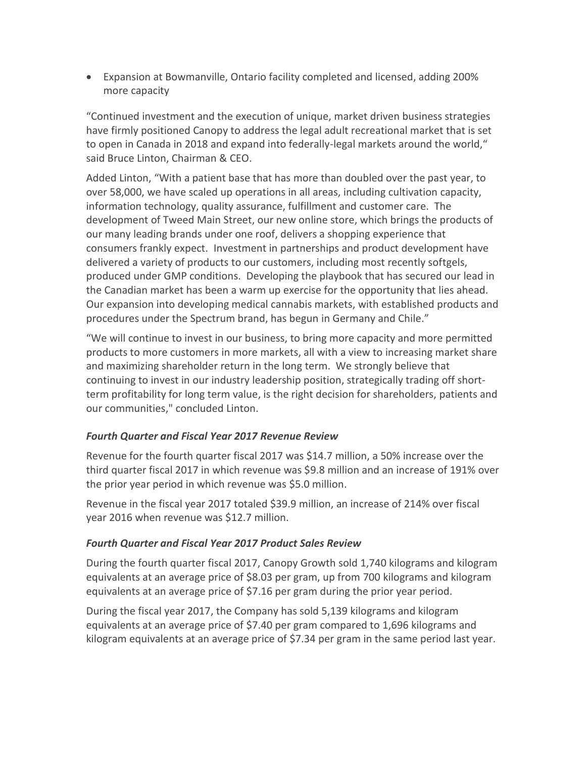• Expansion at Bowmanville, Ontario facility completed and licensed, adding 200% more capacity

"Continued investment and the execution of unique, market driven business strategies have firmly positioned Canopy to address the legal adult recreational market that is set to open in Canada in 2018 and expand into federally-legal markets around the world," said Bruce Linton, Chairman & CEO.

Added Linton, "With a patient base that has more than doubled over the past year, to over 58,000, we have scaled up operations in all areas, including cultivation capacity, information technology, quality assurance, fulfillment and customer care. The development of Tweed Main Street, our new online store, which brings the products of our many leading brands under one roof, delivers a shopping experience that consumers frankly expect. Investment in partnerships and product development have delivered a variety of products to our customers, including most recently softgels, produced under GMP conditions. Developing the playbook that has secured our lead in the Canadian market has been a warm up exercise for the opportunity that lies ahead. Our expansion into developing medical cannabis markets, with established products and procedures under the Spectrum brand, has begun in Germany and Chile."

"We will continue to invest in our business, to bring more capacity and more permitted products to more customers in more markets, all with a view to increasing market share and maximizing shareholder return in the long term. We strongly believe that continuing to invest in our industry leadership position, strategically trading off shortterm profitability for long term value, is the right decision for shareholders, patients and our communities," concluded Linton.

#### *Fourth Quarter and Fiscal Year 2017 Revenue Review*

Revenue for the fourth quarter fiscal 2017 was \$14.7 million, a 50% increase over the third quarter fiscal 2017 in which revenue was \$9.8 million and an increase of 191% over the prior year period in which revenue was \$5.0 million.

Revenue in the fiscal year 2017 totaled \$39.9 million, an increase of 214% over fiscal year 2016 when revenue was \$12.7 million.

#### *Fourth Quarter and Fiscal Year 2017 Product Sales Review*

During the fourth quarter fiscal 2017, Canopy Growth sold 1,740 kilograms and kilogram equivalents at an average price of \$8.03 per gram, up from 700 kilograms and kilogram equivalents at an average price of \$7.16 per gram during the prior year period.

During the fiscal year 2017, the Company has sold 5,139 kilograms and kilogram equivalents at an average price of \$7.40 per gram compared to 1,696 kilograms and kilogram equivalents at an average price of \$7.34 per gram in the same period last year.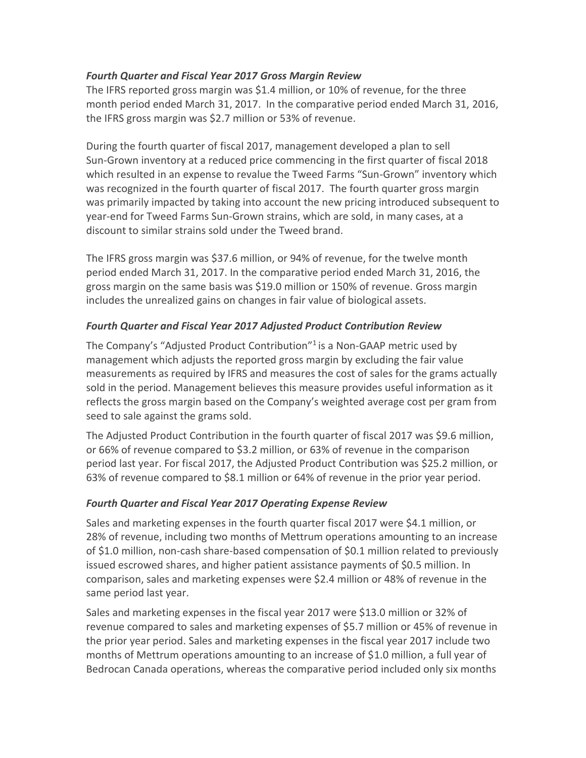#### *Fourth Quarter and Fiscal Year 2017 Gross Margin Review*

The IFRS reported gross margin was \$1.4 million, or 10% of revenue, for the three month period ended March 31, 2017. In the comparative period ended March 31, 2016, the IFRS gross margin was \$2.7 million or 53% of revenue.

During the fourth quarter of fiscal 2017, management developed a plan to sell Sun-Grown inventory at a reduced price commencing in the first quarter of fiscal 2018 which resulted in an expense to revalue the Tweed Farms "Sun-Grown" inventory which was recognized in the fourth quarter of fiscal 2017. The fourth quarter gross margin was primarily impacted by taking into account the new pricing introduced subsequent to year-end for Tweed Farms Sun-Grown strains, which are sold, in many cases, at a discount to similar strains sold under the Tweed brand.

The IFRS gross margin was \$37.6 million, or 94% of revenue, for the twelve month period ended March 31, 2017. In the comparative period ended March 31, 2016, the gross margin on the same basis was \$19.0 million or 150% of revenue. Gross margin includes the unrealized gains on changes in fair value of biological assets.

#### *Fourth Quarter and Fiscal Year 2017 Adjusted Product Contribution Review*

The Company's "Adjusted Product Contribution"<sup>1</sup> is a Non-GAAP metric used by management which adjusts the reported gross margin by excluding the fair value measurements as required by IFRS and measures the cost of sales for the grams actually sold in the period. Management believes this measure provides useful information as it reflects the gross margin based on the Company's weighted average cost per gram from seed to sale against the grams sold.

The Adjusted Product Contribution in the fourth quarter of fiscal 2017 was \$9.6 million, or 66% of revenue compared to \$3.2 million, or 63% of revenue in the comparison period last year. For fiscal 2017, the Adjusted Product Contribution was \$25.2 million, or 63% of revenue compared to \$8.1 million or 64% of revenue in the prior year period.

#### *Fourth Quarter and Fiscal Year 2017 Operating Expense Review*

Sales and marketing expenses in the fourth quarter fiscal 2017 were \$4.1 million, or 28% of revenue, including two months of Mettrum operations amounting to an increase of \$1.0 million, non-cash share-based compensation of \$0.1 million related to previously issued escrowed shares, and higher patient assistance payments of \$0.5 million. In comparison, sales and marketing expenses were \$2.4 million or 48% of revenue in the same period last year.

Sales and marketing expenses in the fiscal year 2017 were \$13.0 million or 32% of revenue compared to sales and marketing expenses of \$5.7 million or 45% of revenue in the prior year period. Sales and marketing expenses in the fiscal year 2017 include two months of Mettrum operations amounting to an increase of \$1.0 million, a full year of Bedrocan Canada operations, whereas the comparative period included only six months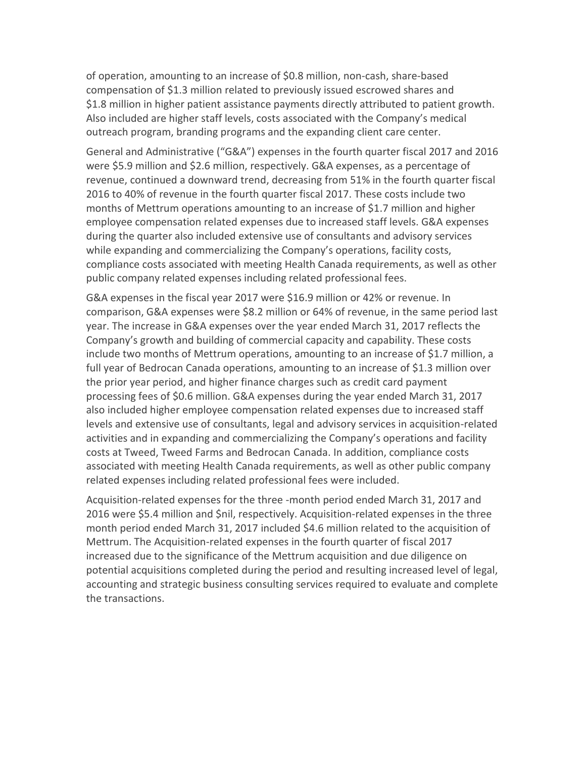of operation, amounting to an increase of \$0.8 million, non-cash, share-based compensation of \$1.3 million related to previously issued escrowed shares and \$1.8 million in higher patient assistance payments directly attributed to patient growth. Also included are higher staff levels, costs associated with the Company's medical outreach program, branding programs and the expanding client care center.

General and Administrative ("G&A") expenses in the fourth quarter fiscal 2017 and 2016 were \$5.9 million and \$2.6 million, respectively. G&A expenses, as a percentage of revenue, continued a downward trend, decreasing from 51% in the fourth quarter fiscal 2016 to 40% of revenue in the fourth quarter fiscal 2017. These costs include two months of Mettrum operations amounting to an increase of \$1.7 million and higher employee compensation related expenses due to increased staff levels. G&A expenses during the quarter also included extensive use of consultants and advisory services while expanding and commercializing the Company's operations, facility costs, compliance costs associated with meeting Health Canada requirements, as well as other public company related expenses including related professional fees.

G&A expenses in the fiscal year 2017 were \$16.9 million or 42% or revenue. In comparison, G&A expenses were \$8.2 million or 64% of revenue, in the same period last year. The increase in G&A expenses over the year ended March 31, 2017 reflects the Company's growth and building of commercial capacity and capability. These costs include two months of Mettrum operations, amounting to an increase of \$1.7 million, a full year of Bedrocan Canada operations, amounting to an increase of \$1.3 million over the prior year period, and higher finance charges such as credit card payment processing fees of \$0.6 million. G&A expenses during the year ended March 31, 2017 also included higher employee compensation related expenses due to increased staff levels and extensive use of consultants, legal and advisory services in acquisition-related activities and in expanding and commercializing the Company's operations and facility costs at Tweed, Tweed Farms and Bedrocan Canada. In addition, compliance costs associated with meeting Health Canada requirements, as well as other public company related expenses including related professional fees were included.

Acquisition-related expenses for the three -month period ended March 31, 2017 and 2016 were \$5.4 million and \$nil, respectively. Acquisition-related expenses in the three month period ended March 31, 2017 included \$4.6 million related to the acquisition of Mettrum. The Acquisition-related expenses in the fourth quarter of fiscal 2017 increased due to the significance of the Mettrum acquisition and due diligence on potential acquisitions completed during the period and resulting increased level of legal, accounting and strategic business consulting services required to evaluate and complete the transactions.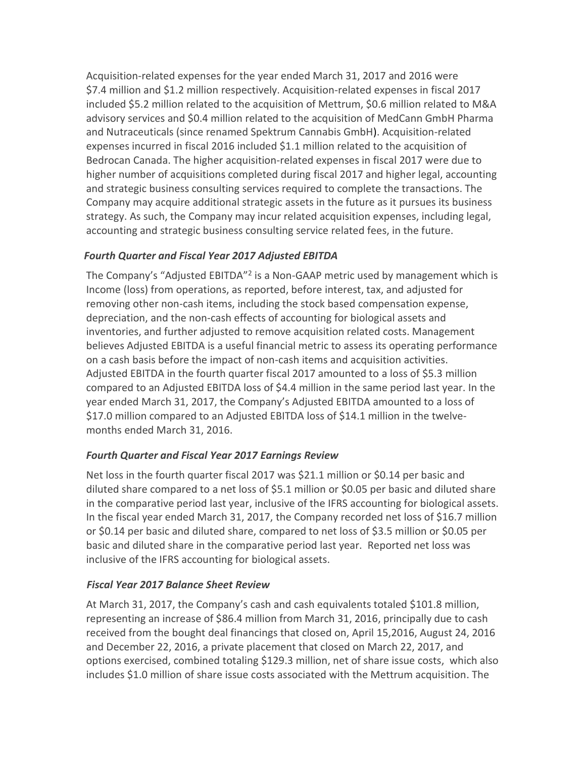Acquisition-related expenses for the year ended March 31, 2017 and 2016 were \$7.4 million and \$1.2 million respectively. Acquisition-related expenses in fiscal 2017 included \$5.2 million related to the acquisition of Mettrum, \$0.6 million related to M&A advisory services and \$0.4 million related to the acquisition of MedCann GmbH Pharma and Nutraceuticals (since renamed Spektrum Cannabis GmbH). Acquisition-related expenses incurred in fiscal 2016 included \$1.1 million related to the acquisition of Bedrocan Canada. The higher acquisition-related expenses in fiscal 2017 were due to higher number of acquisitions completed during fiscal 2017 and higher legal, accounting and strategic business consulting services required to complete the transactions. The Company may acquire additional strategic assets in the future as it pursues its business strategy. As such, the Company may incur related acquisition expenses, including legal, accounting and strategic business consulting service related fees, in the future.

### *Fourth Quarter and Fiscal Year 2017 Adjusted EBITDA*

The Company's "Adjusted EBITDA"<sup>2</sup> is a Non-GAAP metric used by management which is Income (loss) from operations, as reported, before interest, tax, and adjusted for removing other non-cash items, including the stock based compensation expense, depreciation, and the non-cash effects of accounting for biological assets and inventories, and further adjusted to remove acquisition related costs. Management believes Adjusted EBITDA is a useful financial metric to assess its operating performance on a cash basis before the impact of non-cash items and acquisition activities. Adjusted EBITDA in the fourth quarter fiscal 2017 amounted to a loss of \$5.3 million compared to an Adjusted EBITDA loss of \$4.4 million in the same period last year. In the year ended March 31, 2017, the Company's Adjusted EBITDA amounted to a loss of \$17.0 million compared to an Adjusted EBITDA loss of \$14.1 million in the twelvemonths ended March 31, 2016.

#### *Fourth Quarter and Fiscal Year 2017 Earnings Review*

Net loss in the fourth quarter fiscal 2017 was \$21.1 million or \$0.14 per basic and diluted share compared to a net loss of \$5.1 million or \$0.05 per basic and diluted share in the comparative period last year, inclusive of the IFRS accounting for biological assets. In the fiscal year ended March 31, 2017, the Company recorded net loss of \$16.7 million or \$0.14 per basic and diluted share, compared to net loss of \$3.5 million or \$0.05 per basic and diluted share in the comparative period last year. Reported net loss was inclusive of the IFRS accounting for biological assets.

#### *Fiscal Year 2017 Balance Sheet Review*

At March 31, 2017, the Company's cash and cash equivalents totaled \$101.8 million, representing an increase of \$86.4 million from March 31, 2016, principally due to cash received from the bought deal financings that closed on, April 15,2016, August 24, 2016 and December 22, 2016, a private placement that closed on March 22, 2017, and options exercised, combined totaling \$129.3 million, net of share issue costs, which also includes \$1.0 million of share issue costs associated with the Mettrum acquisition. The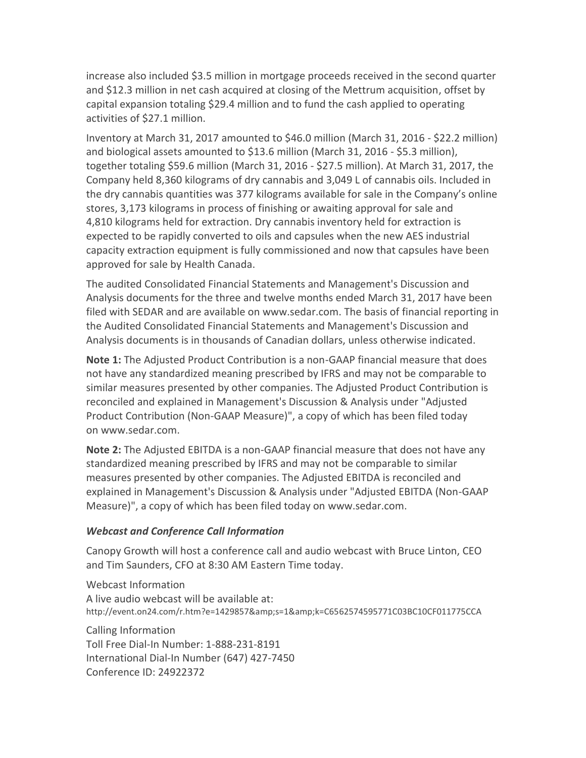increase also included \$3.5 million in mortgage proceeds received in the second quarter and \$12.3 million in net cash acquired at closing of the Mettrum acquisition, offset by capital expansion totaling \$29.4 million and to fund the cash applied to operating activities of \$27.1 million.

Inventory at March 31, 2017 amounted to \$46.0 million (March 31, 2016 - \$22.2 million) and biological assets amounted to \$13.6 million (March 31, 2016 - \$5.3 million), together totaling \$59.6 million (March 31, 2016 - \$27.5 million). At March 31, 2017, the Company held 8,360 kilograms of dry cannabis and 3,049 L of cannabis oils. Included in the dry cannabis quantities was 377 kilograms available for sale in the Company's online stores, 3,173 kilograms in process of finishing or awaiting approval for sale and 4,810 kilograms held for extraction. Dry cannabis inventory held for extraction is expected to be rapidly converted to oils and capsules when the new AES industrial capacity extraction equipment is fully commissioned and now that capsules have been approved for sale by Health Canada.

The audited Consolidated Financial Statements and Management's Discussion and Analysis documents for the three and twelve months ended March 31, 2017 have been filed with SEDAR and are available on www.sedar.com. The basis of financial reporting in the Audited Consolidated Financial Statements and Management's Discussion and Analysis documents is in thousands of Canadian dollars, unless otherwise indicated.

**Note 1:** The Adjusted Product Contribution is a non-GAAP financial measure that does not have any standardized meaning prescribed by IFRS and may not be comparable to similar measures presented by other companies. The Adjusted Product Contribution is reconciled and explained in Management's Discussion & Analysis under "Adjusted Product Contribution (Non-GAAP Measure)", a copy of which has been filed today on [www.sedar.com.](http://www.sedar.com/)

**Note 2:** The Adjusted EBITDA is a non-GAAP financial measure that does not have any standardized meaning prescribed by IFRS and may not be comparable to similar measures presented by other companies. The Adjusted EBITDA is reconciled and explained in Management's Discussion & Analysis under "Adjusted EBITDA (Non-GAAP Measure)", a copy of which has been filed today on [www.sedar.com.](http://www.sedar.com/)

#### *Webcast and Conference Call Information*

Canopy Growth will host a conference call and audio webcast with Bruce Linton, CEO and Tim Saunders, CFO at 8:30 AM Eastern Time today.

Webcast Information A live audio webcast will be available at: http://event.on24.com/r.htm?e=1429857&s=1&k=C6562574595771C03BC10CF011775CCA

Calling Information Toll Free Dial-In Number: 1-888-231-8191 International Dial-In Number (647) 427-7450 Conference ID: 24922372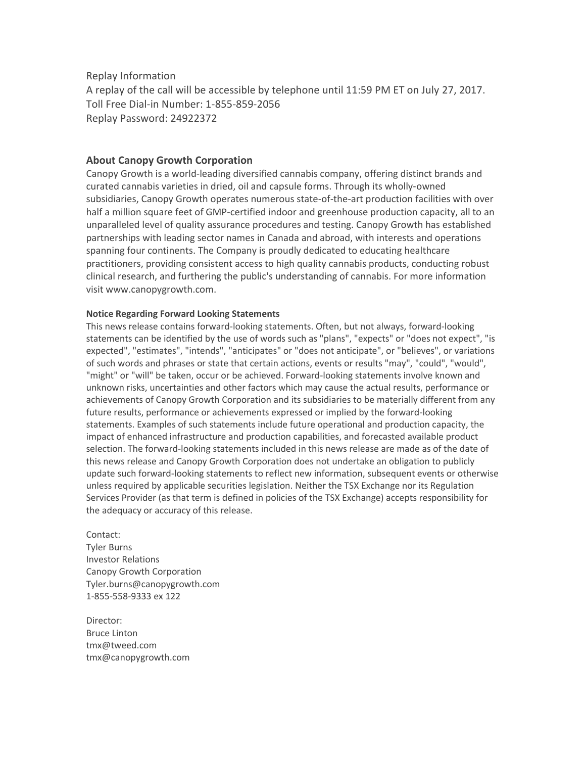Replay Information

A replay of the call will be accessible by telephone until 11:59 PM ET on July 27, 2017. Toll Free Dial-in Number: 1-855-859-2056 Replay Password: 24922372

#### **About Canopy Growth Corporation**

Canopy Growth is a world-leading diversified cannabis company, offering distinct brands and curated cannabis varieties in dried, oil and capsule forms. Through its wholly‑owned subsidiaries, Canopy Growth operates numerous state-of-the-art production facilities with over half a million square feet of GMP-certified indoor and greenhouse production capacity, all to an unparalleled level of quality assurance procedures and testing. Canopy Growth has established partnerships with leading sector names in Canada and abroad, with interests and operations spanning four continents. The Company is proudly dedicated to educating healthcare practitioners, providing consistent access to high quality cannabis products, conducting robust clinical research, and furthering the public's understanding of cannabis. For more information visit www.canopygrowth.com.

#### **Notice Regarding Forward Looking Statements**

This news release contains forward-looking statements. Often, but not always, forward-looking statements can be identified by the use of words such as "plans", "expects" or "does not expect", "is expected", "estimates", "intends", "anticipates" or "does not anticipate", or "believes", or variations of such words and phrases or state that certain actions, events or results "may", "could", "would", "might" or "will" be taken, occur or be achieved. Forward-looking statements involve known and unknown risks, uncertainties and other factors which may cause the actual results, performance or achievements of Canopy Growth Corporation and its subsidiaries to be materially different from any future results, performance or achievements expressed or implied by the forward-looking statements. Examples of such statements include future operational and production capacity, the impact of enhanced infrastructure and production capabilities, and forecasted available product selection. The forward-looking statements included in this news release are made as of the date of this news release and Canopy Growth Corporation does not undertake an obligation to publicly update such forward-looking statements to reflect new information, subsequent events or otherwise unless required by applicable securities legislation. Neither the TSX Exchange nor its Regulation Services Provider (as that term is defined in policies of the TSX Exchange) accepts responsibility for the adequacy or accuracy of this release.

Contact: Tyler Burns Investor Relations Canopy Growth Corporation [Tyler.burns@canopygrowth.com](mailto:Tyler.burns@canopygrowth.com) 1-855-558-9333 ex 122

Director: Bruce Linton [tmx@tweed.com](mailto:tmx@tweed.com) [tmx@canopygrowth.com](mailto:tmx@canopygrowth.com)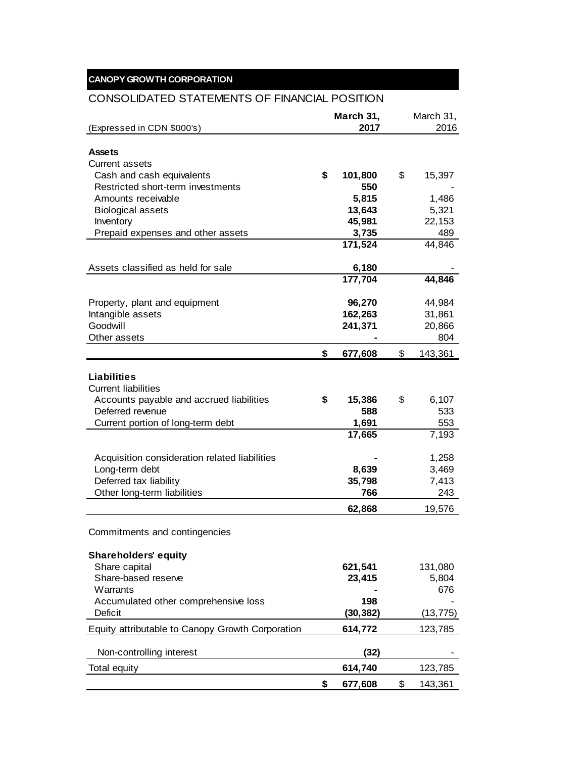# **CANOPY GROWTH CORPORATION**

# CONSOLIDATED STATEMENTS OF FINANCIAL POSITION

|                                                  | March 31,     | March 31,     |
|--------------------------------------------------|---------------|---------------|
| (Expressed in CDN \$000's)                       | 2017          | 2016          |
|                                                  |               |               |
| <b>Assets</b>                                    |               |               |
| <b>Current assets</b>                            |               |               |
| Cash and cash equivalents                        | \$<br>101,800 | \$<br>15,397  |
| Restricted short-term investments                | 550           |               |
| Amounts receivable                               | 5,815         | 1,486         |
| <b>Biological assets</b>                         | 13,643        | 5,321         |
| Inventory                                        | 45,981        | 22,153        |
| Prepaid expenses and other assets                | 3,735         | 489           |
|                                                  | 171,524       | 44,846        |
|                                                  |               |               |
| Assets classified as held for sale               | 6,180         |               |
|                                                  | 177,704       | 44,846        |
|                                                  |               |               |
| Property, plant and equipment                    | 96,270        | 44,984        |
| Intangible assets                                | 162,263       | 31,861        |
| Goodwill                                         | 241,371       | 20,866        |
| Other assets                                     |               | 804           |
|                                                  | \$<br>677,608 | \$<br>143,361 |
|                                                  |               |               |
| <b>Liabilities</b>                               |               |               |
| <b>Current liabilities</b>                       |               |               |
| Accounts payable and accrued liabilities         | \$<br>15,386  | \$<br>6,107   |
| Deferred revenue                                 | 588           | 533           |
| Current portion of long-term debt                | 1,691         | 553           |
|                                                  | 17,665        | 7,193         |
|                                                  |               |               |
| Acquisition consideration related liabilities    |               | 1,258         |
| Long-term debt                                   | 8,639         | 3,469         |
| Deferred tax liability                           | 35,798        | 7,413         |
| Other long-term liabilities                      | 766           | 243           |
|                                                  | 62,868        | 19,576        |
|                                                  |               |               |
| Commitments and contingencies                    |               |               |
|                                                  |               |               |
| <b>Shareholders' equity</b>                      |               |               |
| Share capital                                    | 621,541       | 131,080       |
| Share-based reserve                              | 23,415        | 5,804         |
| Warrants                                         |               | 676           |
| Accumulated other comprehensive loss             | 198           |               |
| Deficit                                          | (30, 382)     | (13, 775)     |
| Equity attributable to Canopy Growth Corporation | 614,772       | 123,785       |
|                                                  |               |               |
| Non-controlling interest                         | (32)          |               |
| Total equity                                     | 614,740       | 123,785       |
|                                                  | \$            | \$            |
|                                                  | 677,608       | 143,361       |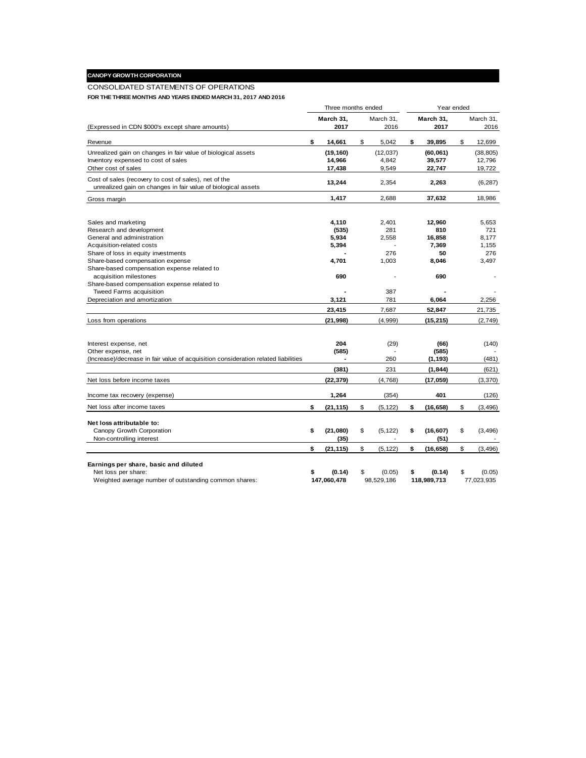## **CANOPY GROWTH CORPORATION**

#### CONSOLIDATED STATEMENTS OF OPERATIONS

**FOR THE THREE MONTHS AND YEARS ENDED MARCH 31, 2017 AND 2016**

|                                                                                                                        | Three months ended |                   |    |                          |    | Year ended        |    |                          |  |  |
|------------------------------------------------------------------------------------------------------------------------|--------------------|-------------------|----|--------------------------|----|-------------------|----|--------------------------|--|--|
| (Expressed in CDN \$000's except share amounts)                                                                        |                    | March 31.<br>2017 |    | March 31.<br>2016        |    | March 31.<br>2017 |    | March 31.<br>2016        |  |  |
| Revenue                                                                                                                | \$                 | 14,661            | \$ | 5,042                    | \$ | 39,895            | \$ | 12,699                   |  |  |
| Unrealized gain on changes in fair value of biological assets                                                          |                    | (19, 160)         |    | (12, 037)                |    | (60,061)          |    | (38, 805)                |  |  |
| Inventory expensed to cost of sales                                                                                    |                    | 14,966            |    | 4,842                    |    | 39,577            |    | 12.796                   |  |  |
| Other cost of sales                                                                                                    |                    | 17,438            |    | 9,549                    |    | 22,747            |    | 19,722                   |  |  |
| Cost of sales (recovery to cost of sales), net of the<br>unrealized gain on changes in fair value of biological assets |                    | 13,244            |    | 2,354                    |    | 2,263             |    | (6, 287)                 |  |  |
| Gross margin                                                                                                           |                    | 1,417             |    | 2,688                    |    | 37,632            |    | 18,986                   |  |  |
|                                                                                                                        |                    |                   |    |                          |    |                   |    |                          |  |  |
| Sales and marketing                                                                                                    |                    | 4,110             |    | 2,401                    |    | 12,960            |    | 5,653                    |  |  |
| Research and development                                                                                               |                    | (535)             |    | 281                      |    | 810               |    | 721                      |  |  |
| General and administration                                                                                             |                    | 5,934             |    | 2,558                    |    | 16,858            |    | 8,177                    |  |  |
| Acquisition-related costs                                                                                              |                    | 5,394             |    |                          |    | 7,369             |    | 1,155                    |  |  |
| Share of loss in equity investments                                                                                    |                    |                   |    | 276                      |    | 50                |    | 276                      |  |  |
| Share-based compensation expense                                                                                       |                    | 4,701             |    | 1,003                    |    | 8,046             |    | 3,497                    |  |  |
| Share-based compensation expense related to                                                                            |                    |                   |    |                          |    |                   |    |                          |  |  |
| acquisition milestones                                                                                                 |                    | 690               |    |                          |    | 690               |    |                          |  |  |
| Share-based compensation expense related to                                                                            |                    |                   |    |                          |    |                   |    |                          |  |  |
| <b>Tweed Farms acquisition</b>                                                                                         |                    |                   |    | 387                      |    |                   |    |                          |  |  |
| Depreciation and amortization                                                                                          |                    | 3,121             |    | 781                      |    | 6,064             |    | 2,256                    |  |  |
|                                                                                                                        |                    | 23,415            |    | 7,687                    |    | 52,847            |    | 21,735                   |  |  |
| Loss from operations                                                                                                   |                    | (21, 998)         |    | (4,999)                  |    | (15, 215)         |    | (2,749)                  |  |  |
|                                                                                                                        |                    |                   |    |                          |    |                   |    |                          |  |  |
| Interest expense, net                                                                                                  |                    | 204               |    | (29)                     |    | (66)              |    | (140)                    |  |  |
| Other expense, net                                                                                                     |                    | (585)             |    |                          |    | (585)             |    |                          |  |  |
| (Increase)/decrease in fair value of acquisition consideration related liabilities                                     |                    |                   |    | 260                      |    | (1, 193)          |    | (481)                    |  |  |
|                                                                                                                        |                    | (381)             |    | 231                      |    | (1, 844)          |    | (621)                    |  |  |
| Net loss before income taxes                                                                                           |                    | (22, 379)         |    | (4,768)                  |    | (17,059)          |    | (3, 370)                 |  |  |
|                                                                                                                        |                    |                   |    |                          |    |                   |    |                          |  |  |
| Income tax recovery (expense)                                                                                          |                    | 1,264             |    | (354)                    |    | 401               |    | (126)                    |  |  |
| Net loss after income taxes                                                                                            | \$                 | (21, 115)         | \$ | (5, 122)                 | \$ | (16, 658)         | \$ | (3, 496)                 |  |  |
| Net loss attributable to:                                                                                              |                    |                   |    |                          |    |                   |    |                          |  |  |
| Canopy Growth Corporation                                                                                              | \$                 | (21,080)          | \$ | (5, 122)                 | \$ | (16, 607)         | \$ | (3, 496)                 |  |  |
| Non-controlling interest                                                                                               |                    | (35)              |    | $\overline{\phantom{a}}$ |    | (51)              |    | $\overline{\phantom{a}}$ |  |  |
|                                                                                                                        | \$                 | (21, 115)         | \$ | (5, 122)                 | \$ | (16, 658)         | \$ | (3, 496)                 |  |  |
|                                                                                                                        |                    |                   |    |                          |    |                   |    |                          |  |  |
| Earnings per share, basic and diluted<br>Net loss per share:                                                           | \$                 | (0.14)            | \$ | (0.05)                   | \$ | (0.14)            | \$ | (0.05)                   |  |  |
| Weighted average number of outstanding common shares:                                                                  |                    | 147,060,478       |    | 98,529,186               |    | 118,989,713       |    | 77,023,935               |  |  |
|                                                                                                                        |                    |                   |    |                          |    |                   |    |                          |  |  |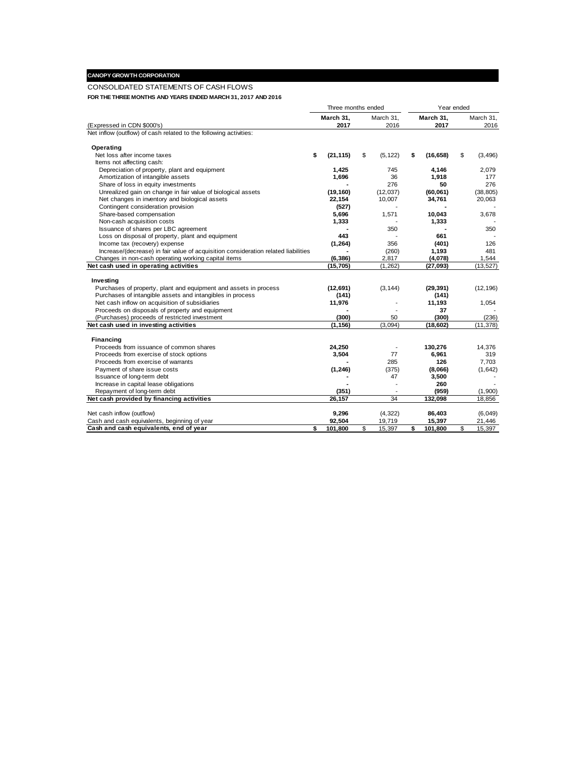#### **CANOPY GROWTH CORPORATION**

#### CONSOLIDATED STATEMENTS OF CASH FLOWS

**FOR THE THREE MONTHS AND YEARS ENDED MARCH 31, 2017 AND 2016**

|                                                                                    | Three months ended |           |    | Year ended               |    |           |    |           |
|------------------------------------------------------------------------------------|--------------------|-----------|----|--------------------------|----|-----------|----|-----------|
|                                                                                    |                    | March 31. |    | March 31.                |    | March 31, |    | March 31, |
| (Expressed in CDN \$000's)                                                         |                    | 2017      |    | 2016                     |    | 2017      |    | 2016      |
| Net inflow (outflow) of cash related to the following activities:                  |                    |           |    |                          |    |           |    |           |
| Operating                                                                          |                    |           |    |                          |    |           |    |           |
| Net loss after income taxes                                                        | \$                 | (21, 115) | \$ | (5, 122)                 | \$ | (16, 658) | \$ | (3, 496)  |
| Items not affecting cash:                                                          |                    |           |    |                          |    |           |    |           |
| Depreciation of property, plant and equipment                                      |                    | 1,425     |    | 745                      |    | 4,146     |    | 2,079     |
| Amortization of intangible assets                                                  |                    | 1,696     |    | 36                       |    | 1,918     |    | 177       |
| Share of loss in equity investments                                                |                    |           |    | 276                      |    | 50        |    | 276       |
| Unrealized gain on change in fair value of biological assets                       |                    | (19, 160) |    | (12, 037)                |    | (60,061)  |    | (38, 805) |
| Net changes in inventory and biological assets                                     |                    | 22,154    |    | 10,007                   |    | 34,761    |    | 20,063    |
| Contingent consideration provision                                                 |                    | (527)     |    |                          |    |           |    |           |
| Share-based compensation                                                           |                    | 5,696     |    | 1,571                    |    | 10,043    |    | 3,678     |
| Non-cash acquisition costs                                                         |                    | 1,333     |    |                          |    | 1,333     |    |           |
| Issuance of shares per LBC agreement                                               |                    |           |    | 350                      |    |           |    | 350       |
| Loss on disposal of property, plant and equipment                                  |                    | 443       |    |                          |    | 661       |    |           |
| Income tax (recovery) expense                                                      |                    | (1, 264)  |    | 356                      |    | (401)     |    | 126       |
| Increase/(decrease) in fair value of acquisition consideration related liabilities |                    |           |    | (260)                    |    | 1,193     |    | 481       |
| Changes in non-cash operating working capital items                                |                    | (6, 386)  |    | 2,817                    |    | (4,078)   |    | 1,544     |
| Net cash used in operating activities                                              |                    | (15, 705) |    | (1, 262)                 |    | (27,093)  |    | (13, 527) |
|                                                                                    |                    |           |    |                          |    |           |    |           |
| Investing                                                                          |                    |           |    |                          |    |           |    |           |
| Purchases of property, plant and equipment and assets in process                   |                    | (12,691)  |    | (3, 144)                 |    | (29, 391) |    | (12, 196) |
| Purchases of intangible assets and intangibles in process                          |                    | (141)     |    |                          |    | (141)     |    |           |
| Net cash inflow on acquisition of subsidiaries                                     |                    | 11,976    |    |                          |    | 11,193    |    | 1,054     |
| Proceeds on disposals of property and equipment                                    |                    |           |    |                          |    | 37        |    |           |
| (Purchases) proceeds of restricted investment                                      |                    | (300)     |    | 50                       |    | (300)     |    | (236)     |
| Net cash used in investing activities                                              |                    | (1, 156)  |    | (3,094)                  |    | (18, 602) |    | (11, 378) |
|                                                                                    |                    |           |    |                          |    |           |    |           |
| Financing                                                                          |                    |           |    |                          |    |           |    |           |
| Proceeds from issuance of common shares                                            |                    | 24,250    |    | $\overline{\phantom{a}}$ |    | 130,276   |    | 14.376    |
| Proceeds from exercise of stock options                                            |                    | 3,504     |    | 77                       |    | 6,961     |    | 319       |
| Proceeds from exercise of warrants                                                 |                    |           |    | 285                      |    | 126       |    | 7,703     |
| Payment of share issue costs                                                       |                    | (1, 246)  |    | (375)                    |    | (8,066)   |    | (1,642)   |
| Issuance of long-term debt                                                         |                    |           |    | 47                       |    | 3,500     |    |           |
| Increase in capital lease obligations                                              |                    |           |    |                          |    | 260       |    |           |
| Repayment of long-term debt                                                        |                    | (351)     |    |                          |    | (959)     |    | (1,900)   |
| Net cash provided by financing activities                                          |                    | 26, 157   |    | 34                       |    | 132,098   |    | 18,856    |
| Net cash inflow (outflow)                                                          |                    | 9,296     |    | (4, 322)                 |    | 86,403    |    | (6,049)   |
| Cash and cash equivalents, beginning of year                                       |                    | 92,504    |    | 19,719                   |    | 15,397    |    | 21,446    |
| Cash and cash equivalents, end of year                                             | \$                 | 101,800   | \$ | 15,397                   | \$ | 101,800   | \$ | 15,397    |
|                                                                                    |                    |           |    |                          |    |           |    |           |